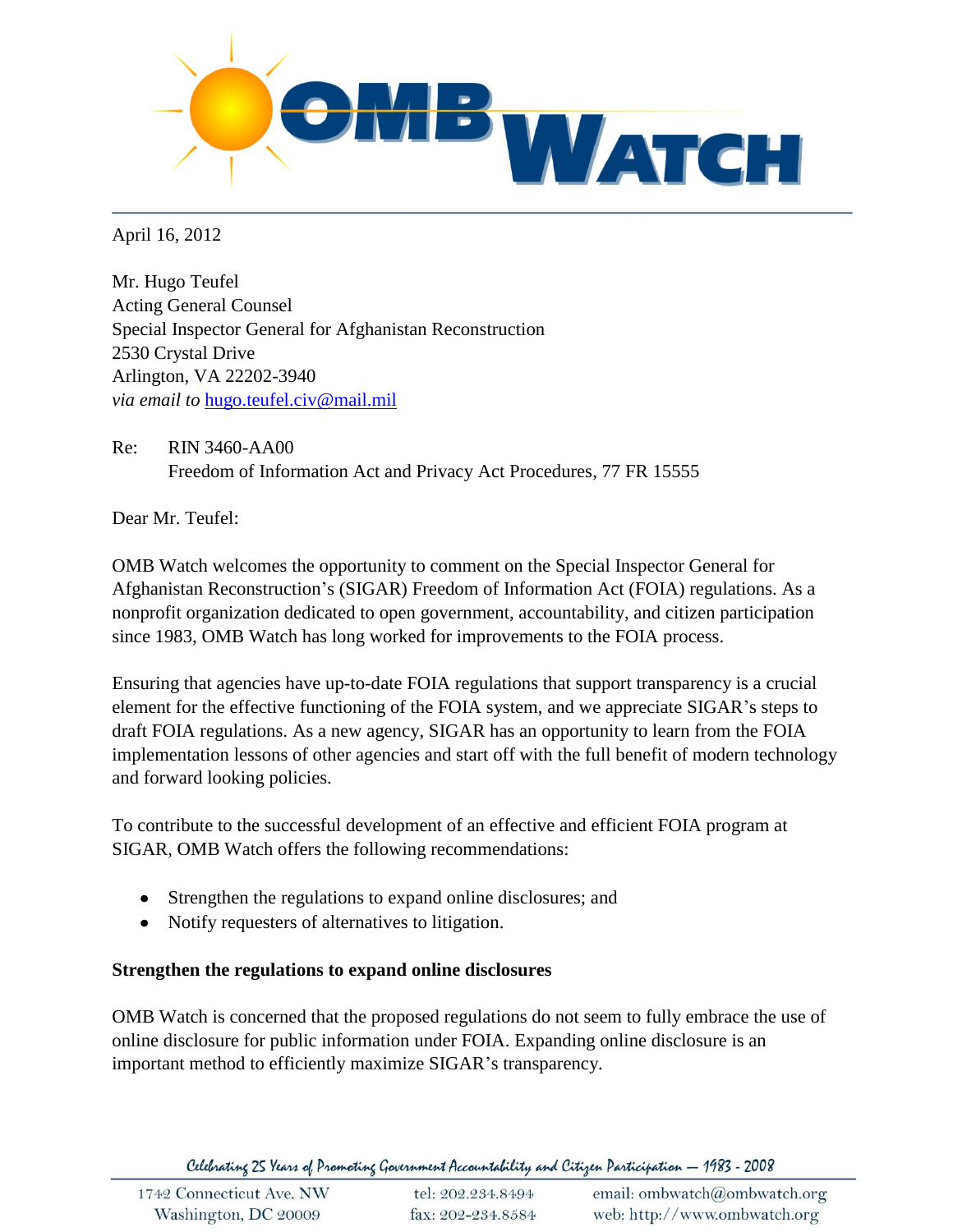

April 16, 2012

Mr. Hugo Teufel Acting General Counsel Special Inspector General for Afghanistan Reconstruction 2530 Crystal Drive Arlington, VA 22202-3940 *via email to* [hugo.teufel.civ@mail.mil](mailto:hugo.teufel.civ@mail.mil)

Re: RIN 3460-AA00 Freedom of Information Act and Privacy Act Procedures, 77 FR 15555

Dear Mr. Teufel:

OMB Watch welcomes the opportunity to comment on the Special Inspector General for Afghanistan Reconstruction's (SIGAR) Freedom of Information Act (FOIA) regulations. As a nonprofit organization dedicated to open government, accountability, and citizen participation since 1983, OMB Watch has long worked for improvements to the FOIA process.

Ensuring that agencies have up-to-date FOIA regulations that support transparency is a crucial element for the effective functioning of the FOIA system, and we appreciate SIGAR's steps to draft FOIA regulations. As a new agency, SIGAR has an opportunity to learn from the FOIA implementation lessons of other agencies and start off with the full benefit of modern technology and forward looking policies.

To contribute to the successful development of an effective and efficient FOIA program at SIGAR, OMB Watch offers the following recommendations:

- Strengthen the regulations to expand online disclosures; and
- Notify requesters of alternatives to litigation.

## **Strengthen the regulations to expand online disclosures**

OMB Watch is concerned that the proposed regulations do not seem to fully embrace the use of online disclosure for public information under FOIA. Expanding online disclosure is an important method to efficiently maximize SIGAR's transparency.

Celebrating 25 Years of Promoting Government Accountability and Citizen Participation — 1983 - 2008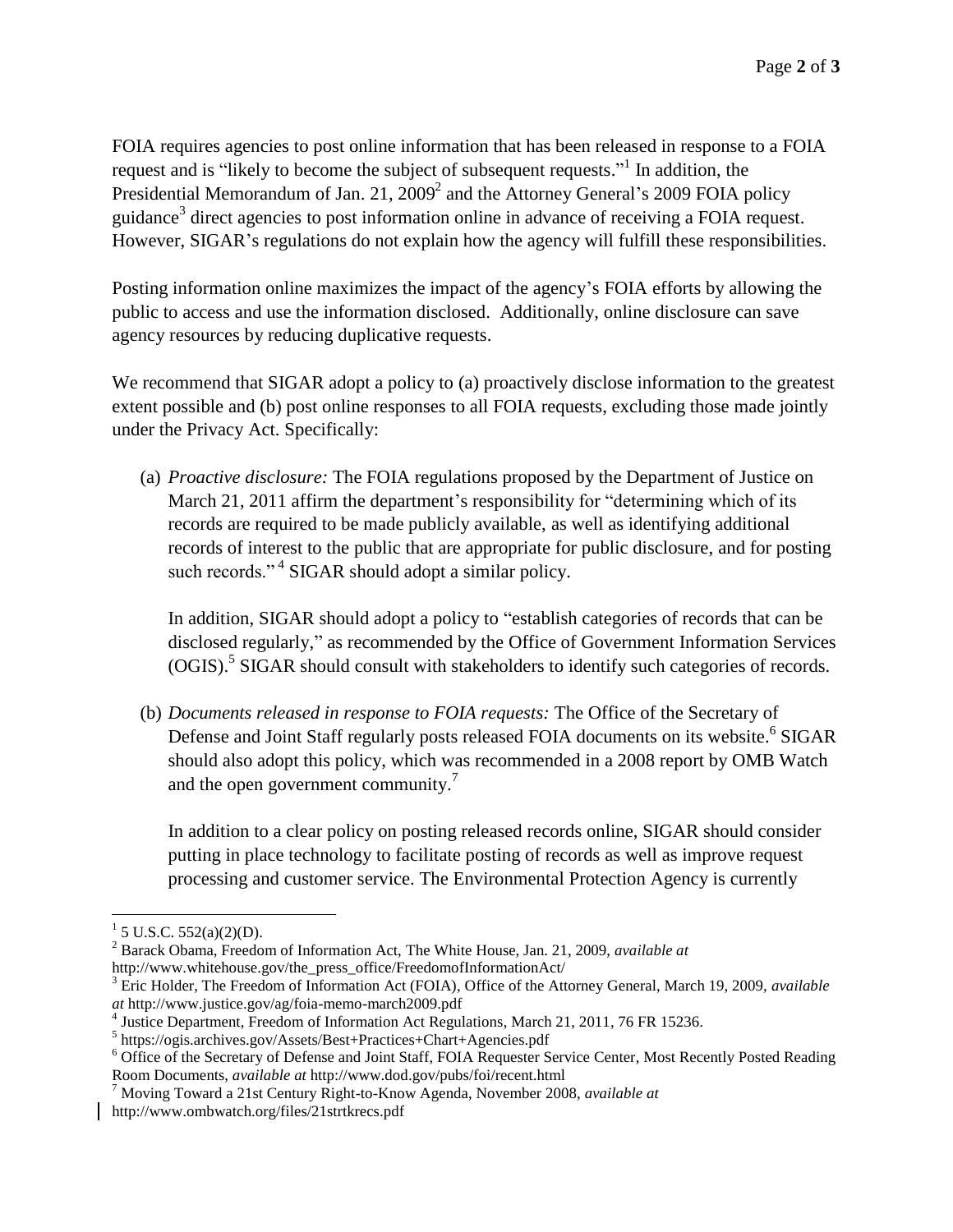FOIA requires agencies to post online information that has been released in response to a FOIA request and is "likely to become the subject of subsequent requests."<sup>1</sup> In addition, the Presidential Memorandum of Jan. 21, 2009<sup>2</sup> and the Attorney General's 2009 FOIA policy guidance<sup>3</sup> direct agencies to post information online in advance of receiving a FOIA request. However, SIGAR's regulations do not explain how the agency will fulfill these responsibilities.

Posting information online maximizes the impact of the agency's FOIA efforts by allowing the public to access and use the information disclosed. Additionally, online disclosure can save agency resources by reducing duplicative requests.

We recommend that SIGAR adopt a policy to (a) proactively disclose information to the greatest extent possible and (b) post online responses to all FOIA requests, excluding those made jointly under the Privacy Act. Specifically:

(a) *Proactive disclosure:* The FOIA regulations proposed by the Department of Justice on March 21, 2011 affirm the department's responsibility for "determining which of its records are required to be made publicly available, as well as identifying additional records of interest to the public that are appropriate for public disclosure, and for posting such records."<sup>4</sup> SIGAR should adopt a similar policy.

In addition, SIGAR should adopt a policy to "establish categories of records that can be disclosed regularly," as recommended by the Office of Government Information Services (OGIS).<sup>5</sup> SIGAR should consult with stakeholders to identify such categories of records.

(b) *Documents released in response to FOIA requests:* The Office of the Secretary of Defense and Joint Staff regularly posts released FOIA documents on its website.<sup>6</sup> SIGAR should also adopt this policy, which was recommended in a 2008 report by OMB Watch and the open government community.<sup>7</sup>

In addition to a clear policy on posting released records online, SIGAR should consider putting in place technology to facilitate posting of records as well as improve request processing and customer service. The Environmental Protection Agency is currently

 $\overline{a}$ 

 $1$  5 U.S.C. 552(a)(2)(D).

<sup>2</sup> Barack Obama, Freedom of Information Act, The White House, Jan. 21, 2009, *available at*  http://www.whitehouse.gov/the\_press\_office/FreedomofInformationAct/

<sup>3</sup> Eric Holder, The Freedom of Information Act (FOIA), Office of the Attorney General, March 19, 2009, *available at* http://www.justice.gov/ag/foia-memo-march2009.pdf

<sup>4</sup> Justice Department, Freedom of Information Act Regulations, March 21, 2011, 76 FR 15236.

<sup>5</sup> https://ogis.archives.gov/Assets/Best+Practices+Chart+Agencies.pdf

<sup>&</sup>lt;sup>6</sup> Office of the Secretary of Defense and Joint Staff, FOIA Requester Service Center, Most Recently Posted Reading Room Documents, *available at* http://www.dod.gov/pubs/foi/recent.html

<sup>7</sup> Moving Toward a 21st Century Right-to-Know Agenda, November 2008, *available at*  http://www.ombwatch.org/files/21strtkrecs.pdf